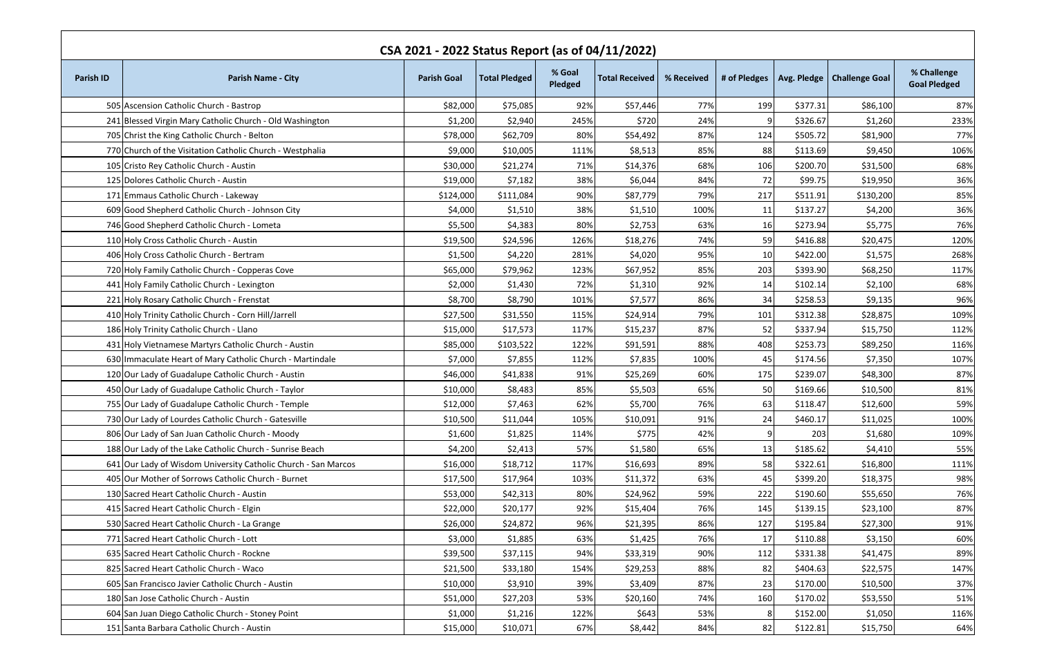| CSA 2021 - 2022 Status Report (as of 04/11/2022) |                                                                |                    |                      |                   |                       |            |              |          |                              |                                    |
|--------------------------------------------------|----------------------------------------------------------------|--------------------|----------------------|-------------------|-----------------------|------------|--------------|----------|------------------------------|------------------------------------|
| <b>Parish ID</b>                                 | <b>Parish Name - City</b>                                      | <b>Parish Goal</b> | <b>Total Pledged</b> | % Goal<br>Pledged | <b>Total Received</b> | % Received | # of Pledges |          | Avg. Pledge   Challenge Goal | % Challenge<br><b>Goal Pledged</b> |
|                                                  | 505 Ascension Catholic Church - Bastrop                        | \$82,000           | \$75,085             | 92%               | \$57,446              | 77%        | 199          | \$377.31 | \$86,100                     | 87%                                |
|                                                  | 241 Blessed Virgin Mary Catholic Church - Old Washington       | \$1,200            | \$2,940              | 245%              | \$720                 | 24%        | q            | \$326.67 | \$1,260                      | 233%                               |
|                                                  | 705 Christ the King Catholic Church - Belton                   | \$78,000           | \$62,709             | 80%               | \$54,492              | 87%        | 124          | \$505.72 | \$81,900                     | 77%                                |
|                                                  | 770 Church of the Visitation Catholic Church - Westphalia      | \$9,000            | \$10,005             | 111%              | \$8,513               | 85%        | 88           | \$113.69 | \$9,450                      | 106%                               |
|                                                  | 105 Cristo Rey Catholic Church - Austin                        | \$30,000           | \$21,274             | 71%               | \$14,376              | 68%        | 106          | \$200.70 | \$31,500                     | 68%                                |
|                                                  | 125 Dolores Catholic Church - Austin                           | \$19,000           | \$7,182              | 38%               | \$6,044               | 84%        | <b>72</b>    | \$99.75  | \$19,950                     | 36%                                |
|                                                  | 171 Emmaus Catholic Church - Lakeway                           | \$124,000          | \$111,084            | 90%               | \$87,779              | 79%        | 217          | \$511.91 | \$130,200                    | 85%                                |
|                                                  | 609 Good Shepherd Catholic Church - Johnson City               | \$4,000            | \$1,510              | 38%               | \$1,510               | 100%       | 11           | \$137.27 | \$4,200                      | 36%                                |
|                                                  | 746 Good Shepherd Catholic Church - Lometa                     | \$5,500            | \$4,383              | 80%               | \$2,753               | 63%        | <b>16</b>    | \$273.94 | \$5,775                      | 76%                                |
|                                                  | 110 Holy Cross Catholic Church - Austin                        | \$19,500           | \$24,596             | 126%              | \$18,276              | 74%        | 59           | \$416.88 | \$20,475                     | 120%                               |
|                                                  | 406 Holy Cross Catholic Church - Bertram                       | \$1,500            | \$4,220              | 281%              | \$4,020               | 95%        | 10           | \$422.00 | \$1,575                      | 268%                               |
|                                                  | 720 Holy Family Catholic Church - Copperas Cove                | \$65,000           | \$79,962             | 123%              | \$67,952              | 85%        | 203          | \$393.90 | \$68,250                     | 117%                               |
|                                                  | 441 Holy Family Catholic Church - Lexington                    | \$2,000            | \$1,430              | 72%               | \$1,310               | 92%        | 14           | \$102.14 | \$2,100                      | 68%                                |
|                                                  | 221 Holy Rosary Catholic Church - Frenstat                     | \$8,700            | \$8,790              | 101%              | \$7,577               | 86%        | 34           | \$258.53 | \$9,135                      | 96%                                |
|                                                  | 410 Holy Trinity Catholic Church - Corn Hill/Jarrell           | \$27,500           | \$31,550             | 115%              | \$24,914              | 79%        | 101          | \$312.38 | \$28,875                     | 109%                               |
|                                                  | 186 Holy Trinity Catholic Church - Llano                       | \$15,000           | \$17,573             | 117%              | \$15,237              | 87%        | 52           | \$337.94 | \$15,750                     | 112%                               |
|                                                  | 431 Holy Vietnamese Martyrs Catholic Church - Austin           | \$85,000           | \$103,522            | 122%              | \$91,591              | 88%        | 408          | \$253.73 | \$89,250                     | 116%                               |
|                                                  | 630 Immaculate Heart of Mary Catholic Church - Martindale      | \$7,000            | \$7,855              | 112%              | \$7,835               | 100%       | 45           | \$174.56 | \$7,350                      | 107%                               |
|                                                  | 120 Our Lady of Guadalupe Catholic Church - Austin             | \$46,000           | \$41,838             | 91%               | \$25,269              | 60%        | 175          | \$239.07 | \$48,300                     | 87%                                |
|                                                  | 450 Our Lady of Guadalupe Catholic Church - Taylor             | \$10,000           | \$8,483              | 85%               | \$5,503               | 65%        | <b>50</b>    | \$169.66 | \$10,500                     | 81%                                |
|                                                  | 755 Our Lady of Guadalupe Catholic Church - Temple             | \$12,000           | \$7,463              | 62%               | \$5,700               | 76%        | 63           | \$118.47 | \$12,600                     | 59%                                |
|                                                  | 730 Our Lady of Lourdes Catholic Church - Gatesville           | \$10,500           | \$11,044             | 105%              | \$10,091              | 91%        | 24           | \$460.17 | \$11,025                     | 100%                               |
|                                                  | 806 Our Lady of San Juan Catholic Church - Moody               | \$1,600            | \$1,825              | 114%              | \$775                 | 42%        |              | 203      | \$1,680                      | 109%                               |
|                                                  | 188 Our Lady of the Lake Catholic Church - Sunrise Beach       | \$4,200            | \$2,413              | 57%               | \$1,580               | 65%        | 13           | \$185.62 | \$4,410                      | 55%                                |
|                                                  | 641 Our Lady of Wisdom University Catholic Church - San Marcos | \$16,000           | \$18,712             | 117%              | \$16,693              | 89%        | 58           | \$322.61 | \$16,800                     | 111%                               |
|                                                  | 405 Our Mother of Sorrows Catholic Church - Burnet             | \$17,500           | \$17,964             | 103%              | \$11,372              | 63%        | 45           | \$399.20 | \$18,375                     | 98%                                |
|                                                  | 130 Sacred Heart Catholic Church - Austin                      | \$53,000           | \$42,313             | 80%               | \$24,962              | 59%        | 222          | \$190.60 | \$55,650                     | 76%                                |
|                                                  | 415 Sacred Heart Catholic Church - Elgin                       | \$22,000           | \$20,177             | 92%               | \$15,404              | 76%        | 145          | \$139.15 | \$23,100                     | 87%                                |
|                                                  | 530 Sacred Heart Catholic Church - La Grange                   | \$26,000           | \$24,872             | 96%               | \$21,395              | 86%        | 127          | \$195.84 | \$27,300                     | 91%                                |
|                                                  | 771 Sacred Heart Catholic Church - Lott                        | \$3,000            | \$1,885              | 63%               | \$1,425               | 76%        | 17           | \$110.88 | \$3,150                      | 60%                                |
|                                                  | 635 Sacred Heart Catholic Church - Rockne                      | \$39,500           | \$37,115             | 94%               | \$33,319              | 90%        | 112          | \$331.38 | \$41,475                     | 89%                                |
|                                                  | 825 Sacred Heart Catholic Church - Waco                        | \$21,500           | \$33,180             | 154%              | \$29,253              | 88%        | 82           | \$404.63 | \$22,575                     | 147%                               |
|                                                  | 605 San Francisco Javier Catholic Church - Austin              | \$10,000           | \$3,910              | 39%               | \$3,409               | 87%        | 23           | \$170.00 | \$10,500                     | 37%                                |
|                                                  | 180 San Jose Catholic Church - Austin                          | \$51,000           | \$27,203             | 53%               | \$20,160              | 74%        | 160          | \$170.02 | \$53,550                     | 51%                                |
|                                                  | 604 San Juan Diego Catholic Church - Stoney Point              | \$1,000            | \$1,216              | 122%              | \$643                 | 53%        | 8            | \$152.00 | \$1,050                      | 116%                               |
|                                                  | 151 Santa Barbara Catholic Church - Austin                     | \$15,000           | \$10,071             | 67%               | \$8,442               | 84%        | 82           | \$122.81 | \$15,750                     | 64%                                |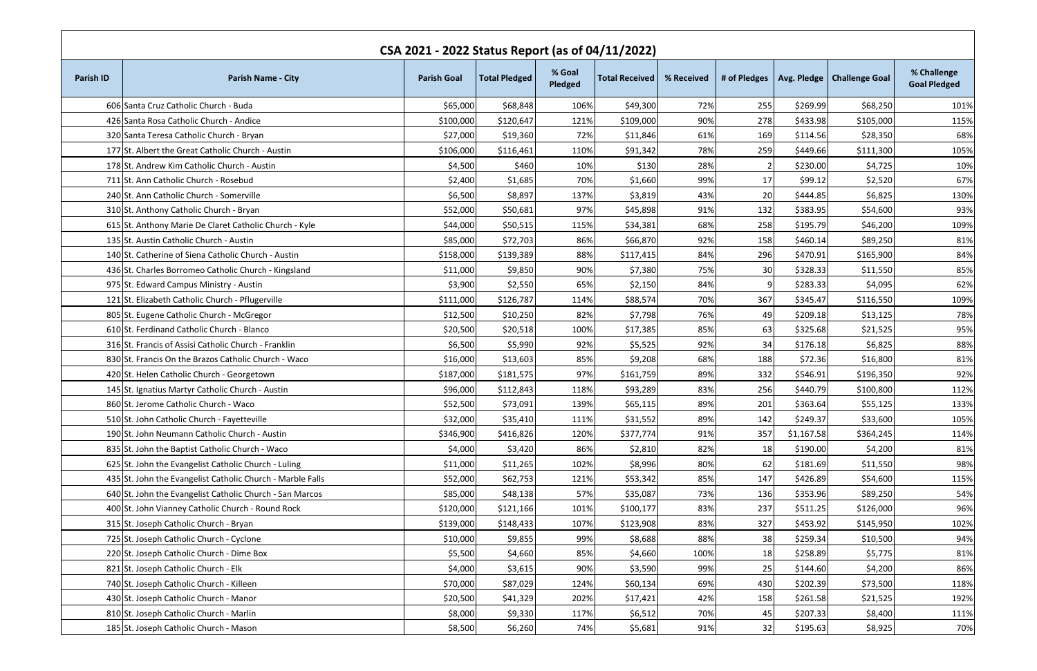| CSA 2021 - 2022 Status Report (as of 04/11/2022) |                                                            |                    |                      |                   |                       |            |              |            |                              |                                    |
|--------------------------------------------------|------------------------------------------------------------|--------------------|----------------------|-------------------|-----------------------|------------|--------------|------------|------------------------------|------------------------------------|
| <b>Parish ID</b>                                 | <b>Parish Name - City</b>                                  | <b>Parish Goal</b> | <b>Total Pledged</b> | % Goal<br>Pledged | <b>Total Received</b> | % Received | # of Pledges |            | Avg. Pledge   Challenge Goal | % Challenge<br><b>Goal Pledged</b> |
|                                                  | 606 Santa Cruz Catholic Church - Buda                      | \$65,000           | \$68,848             | 106%              | \$49,300              | 72%        | 255          | \$269.99   | \$68,250                     | 101%                               |
|                                                  | 426 Santa Rosa Catholic Church - Andice                    | \$100,000          | \$120,647            | 121%              | \$109,000             | 90%        | 278          | \$433.98   | \$105,000                    | 115%                               |
|                                                  | 320 Santa Teresa Catholic Church - Bryan                   | \$27,000           | \$19,360             | 72%               | \$11,846              | 61%        | 169          | \$114.56   | \$28,350                     | 68%                                |
|                                                  | 177 St. Albert the Great Catholic Church - Austin          | \$106,000          | \$116,461            | 110%              | \$91,342              | 78%        | 259          | \$449.66   | \$111,300                    | 105%                               |
|                                                  | 178 St. Andrew Kim Catholic Church - Austin                | \$4,500            | \$460                | 10%               | \$130                 | 28%        |              | \$230.00   | \$4,725                      | 10%                                |
|                                                  | 711 St. Ann Catholic Church - Rosebud                      | \$2,400            | \$1,685              | 70%               | \$1,660               | 99%        | 17           | \$99.12    | \$2,520                      | 67%                                |
|                                                  | 240 St. Ann Catholic Church - Somerville                   | \$6,500            | \$8,897              | 137%              | \$3,819               | 43%        | <b>20</b>    | \$444.85   | \$6,825                      | 130%                               |
|                                                  | 310 St. Anthony Catholic Church - Bryan                    | \$52,000           | \$50,681             | 97%               | \$45,898              | 91%        | 132          | \$383.95   | \$54,600                     | 93%                                |
|                                                  | 615 St. Anthony Marie De Claret Catholic Church - Kyle     | \$44,000           | \$50,515             | 115%              | \$34,381              | 68%        | 258          | \$195.79   | \$46,200                     | 109%                               |
|                                                  | 135 St. Austin Catholic Church - Austin                    | \$85,000           | \$72,703             | 86%               | \$66,870              | 92%        | 158          | \$460.14   | \$89,250                     | 81%                                |
|                                                  | 140 St. Catherine of Siena Catholic Church - Austin        | \$158,000          | \$139,389            | 88%               | \$117,415             | 84%        | 296          | \$470.91   | \$165,900                    | 84%                                |
|                                                  | 436 St. Charles Borromeo Catholic Church - Kingsland       | \$11,000           | \$9,850              | 90%               | \$7,380               | 75%        | 30I          | \$328.33   | \$11,550                     | 85%                                |
|                                                  | 975 St. Edward Campus Ministry - Austin                    | \$3,900            | \$2,550              | 65%               | \$2,150               | 84%        | q            | \$283.33   | \$4,095                      | 62%                                |
|                                                  | 121 St. Elizabeth Catholic Church - Pflugerville           | \$111,000          | \$126,787            | 114%              | \$88,574              | 70%        | 367          | \$345.47   | \$116,550                    | 109%                               |
|                                                  | 805 St. Eugene Catholic Church - McGregor                  | \$12,500           | \$10,250             | 82%               | \$7,798               | 76%        | 49           | \$209.18   | \$13,125                     | 78%                                |
|                                                  | 610 St. Ferdinand Catholic Church - Blanco                 | \$20,500           | \$20,518             | 100%              | \$17,385              | 85%        | 63           | \$325.68   | \$21,525                     | 95%                                |
|                                                  | 316 St. Francis of Assisi Catholic Church - Franklin       | \$6,500            | \$5,990              | 92%               | \$5,525               | 92%        | 34           | \$176.18   | \$6,825                      | 88%                                |
|                                                  | 830 St. Francis On the Brazos Catholic Church - Waco       | \$16,000           | \$13,603             | 85%               | \$9,208               | 68%        | 188          | \$72.36    | \$16,800                     | 81%                                |
|                                                  | 420 St. Helen Catholic Church - Georgetown                 | \$187,000          | \$181,575            | 97%               | \$161,759             | 89%        | 332          | \$546.91   | \$196,350                    | 92%                                |
|                                                  | 145 St. Ignatius Martyr Catholic Church - Austin           | \$96,000           | \$112,843            | 118%              | \$93,289              | 83%        | 256          | \$440.79   | \$100,800                    | 112%                               |
|                                                  | 860 St. Jerome Catholic Church - Waco                      | \$52,500           | \$73,091             | 139%              | \$65,115              | 89%        | 201          | \$363.64   | \$55,125                     | 133%                               |
|                                                  | 510 St. John Catholic Church - Fayetteville                | \$32,000           | \$35,410             | 111%              | \$31,552              | 89%        | 142          | \$249.37   | \$33,600                     | 105%                               |
|                                                  | 190 St. John Neumann Catholic Church - Austin              | \$346,900          | \$416,826            | 120%              | \$377,774             | 91%        | 357          | \$1,167.58 | \$364,245                    | 114%                               |
|                                                  | 835 St. John the Baptist Catholic Church - Waco            | \$4,000            | \$3,420              | 86%               | \$2,810               | 82%        | 18           | \$190.00   | \$4,200                      | 81%                                |
|                                                  | 625 St. John the Evangelist Catholic Church - Luling       | \$11,000           | \$11,265             | 102%              | \$8,996               | 80%        | 62           | \$181.69   | \$11,550                     | 98%                                |
|                                                  | 435 St. John the Evangelist Catholic Church - Marble Falls | \$52,000           | \$62,753             | 121%              | \$53,342              | 85%        | 147          | \$426.89   | \$54,600                     | 115%                               |
|                                                  | 640 St. John the Evangelist Catholic Church - San Marcos   | \$85,000           | \$48,138             | 57%               | \$35,087              | 73%        | 136          | \$353.96   | \$89,250                     | 54%                                |
|                                                  | 400 St. John Vianney Catholic Church - Round Rock          | \$120,000          | \$121,166            | 101%              | \$100,177             | 83%        | 237          | \$511.25   | \$126,000                    | 96%                                |
|                                                  | 315 St. Joseph Catholic Church - Bryan                     | \$139,000          | \$148,433            | 107%              | \$123,908             | 83%        | 327          | \$453.92   | \$145,950                    | 102%                               |
|                                                  | 725 St. Joseph Catholic Church - Cyclone                   | \$10,000           | \$9,855              | 99%               | \$8,688               | 88%        | 38           | \$259.34   | \$10,500                     | 94%                                |
|                                                  | 220 St. Joseph Catholic Church - Dime Box                  | \$5,500            | \$4,660              | 85%               | \$4,660               | 100%       | 18           | \$258.89   | \$5,775                      | 81%                                |
|                                                  | 821 St. Joseph Catholic Church - Elk                       | \$4,000            | \$3,615              | 90%               | \$3,590               | 99%        | 25           | \$144.60   | \$4,200                      | 86%                                |
|                                                  | 740 St. Joseph Catholic Church - Killeen                   | \$70,000           | \$87,029             | 124%              | \$60,134              | 69%        | 430          | \$202.39   | \$73,500                     | 118%                               |
|                                                  | 430 St. Joseph Catholic Church - Manor                     | \$20,500           | \$41,329             | 202%              | \$17,421              | 42%        | 158          | \$261.58   | \$21,525                     | 192%                               |
|                                                  | 810 St. Joseph Catholic Church - Marlin                    | \$8,000            | \$9,330              | 117%              | \$6,512               | 70%        | 45           | \$207.33   | \$8,400                      | 111%                               |
|                                                  | 185 St. Joseph Catholic Church - Mason                     | \$8,500            | \$6,260              | 74%               | \$5,681               | 91%        | 32           | \$195.63   | \$8,925                      | 70%                                |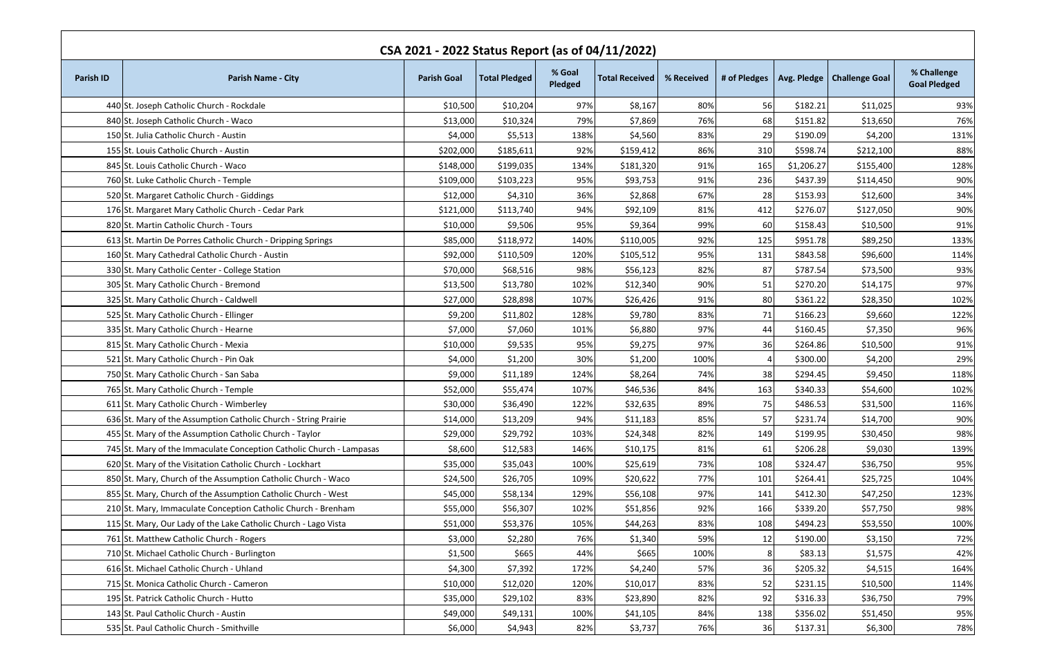| CSA 2021 - 2022 Status Report (as of 04/11/2022) |                                                                      |                    |                      |                   |                       |            |     |            |                                             |                                    |
|--------------------------------------------------|----------------------------------------------------------------------|--------------------|----------------------|-------------------|-----------------------|------------|-----|------------|---------------------------------------------|------------------------------------|
| <b>Parish ID</b>                                 | <b>Parish Name - City</b>                                            | <b>Parish Goal</b> | <b>Total Pledged</b> | % Goal<br>Pledged | <b>Total Received</b> | % Received |     |            | # of Pledges   Avg. Pledge   Challenge Goal | % Challenge<br><b>Goal Pledged</b> |
|                                                  | 440 St. Joseph Catholic Church - Rockdale                            | \$10,500           | \$10,204             | 97%               | \$8,167               | 80%        | 56  | \$182.21   | \$11,025                                    | 93%                                |
|                                                  | 840 St. Joseph Catholic Church - Waco                                | \$13,000           | \$10,324             | 79%               | \$7,869               | 76%        | 68  | \$151.82   | \$13,650                                    | 76%                                |
|                                                  | 150 St. Julia Catholic Church - Austin                               | \$4,000            | \$5,513              | 138%              | \$4,560               | 83%        | 29  | \$190.09   | \$4,200                                     | 131%                               |
|                                                  | 155 St. Louis Catholic Church - Austin                               | \$202,000          | \$185,611            | 92%               | \$159,412             | 86%        | 310 | \$598.74   | \$212,100                                   | 88%                                |
|                                                  | 845 St. Louis Catholic Church - Waco                                 | \$148,000          | \$199,035            | 134%              | \$181,320             | 91%        | 165 | \$1,206.27 | \$155,400                                   | 128%                               |
|                                                  | 760 St. Luke Catholic Church - Temple                                | \$109,000          | \$103,223            | 95%               | \$93,753              | 91%        | 236 | \$437.39   | \$114,450                                   | 90%                                |
|                                                  | 520 St. Margaret Catholic Church - Giddings                          | \$12,000           | \$4,310              | 36%               | \$2,868               | 67%        | 28  | \$153.93   | \$12,600                                    | 34%                                |
|                                                  | 176 St. Margaret Mary Catholic Church - Cedar Park                   | \$121,000          | \$113,740            | 94%               | \$92,109              | 81%        | 412 | \$276.07   | \$127,050                                   | 90%                                |
|                                                  | 820 St. Martin Catholic Church - Tours                               | \$10,000           | \$9,506              | 95%               | \$9,364               | 99%        | 60  | \$158.43   | \$10,500                                    | 91%                                |
|                                                  | 613 St. Martin De Porres Catholic Church - Dripping Springs          | \$85,000           | \$118,972            | 140%              | \$110,005             | 92%        | 125 | \$951.78   | \$89,250                                    | 133%                               |
|                                                  | 160 St. Mary Cathedral Catholic Church - Austin                      | \$92,000           | \$110,509            | 120%              | \$105,512             | 95%        | 131 | \$843.58   | \$96,600                                    | 114%                               |
|                                                  | 330 St. Mary Catholic Center - College Station                       | \$70,000           | \$68,516             | 98%               | \$56,123              | 82%        | 87  | \$787.54   | \$73,500                                    | 93%                                |
|                                                  | 305 St. Mary Catholic Church - Bremond                               | \$13,500           | \$13,780             | 102%              | \$12,340              | 90%        | 51  | \$270.20   | \$14,175                                    | 97%                                |
|                                                  | 325 St. Mary Catholic Church - Caldwell                              | \$27,000           | \$28,898             | 107%              | \$26,426              | 91%        | 80  | \$361.22   | \$28,350                                    | 102%                               |
|                                                  | 525 St. Mary Catholic Church - Ellinger                              | \$9,200            | \$11,802             | 128%              | \$9,780               | 83%        | 71  | \$166.23   | \$9,660                                     | 122%                               |
|                                                  | 335 St. Mary Catholic Church - Hearne                                | \$7,000            | \$7,060              | 101%              | \$6,880               | 97%        | 44  | \$160.45   | \$7,350                                     | 96%                                |
|                                                  | 815 St. Mary Catholic Church - Mexia                                 | \$10,000           | \$9,535              | 95%               | \$9,275               | 97%        | 36  | \$264.86   | \$10,500                                    | 91%                                |
|                                                  | 521 St. Mary Catholic Church - Pin Oak                               | \$4,000            | \$1,200              | 30%               | \$1,200               | 100%       |     | \$300.00   | \$4,200                                     | 29%                                |
|                                                  | 750 St. Mary Catholic Church - San Saba                              | \$9,000            | \$11,189             | 124%              | \$8,264               | 74%        | 38  | \$294.45   | \$9,450                                     | 118%                               |
|                                                  | 765 St. Mary Catholic Church - Temple                                | \$52,000           | \$55,474             | 107%              | \$46,536              | 84%        | 163 | \$340.33   | \$54,600                                    | 102%                               |
|                                                  | 611 St. Mary Catholic Church - Wimberley                             | \$30,000           | \$36,490             | 122%              | \$32,635              | 89%        | 75  | \$486.53   | \$31,500                                    | 116%                               |
|                                                  | 636 St. Mary of the Assumption Catholic Church - String Prairie      | \$14,000           | \$13,209             | 94%               | \$11,183              | 85%        | 57  | \$231.74   | \$14,700                                    | 90%                                |
|                                                  | 455 St. Mary of the Assumption Catholic Church - Taylor              | \$29,000           | \$29,792             | 103%              | \$24,348              | 82%        | 149 | \$199.95   | \$30,450                                    | 98%                                |
|                                                  | 745 St. Mary of the Immaculate Conception Catholic Church - Lampasas | \$8,600            | \$12,583             | 146%              | \$10,175              | 81%        | 61  | \$206.28   | \$9,030                                     | 139%                               |
|                                                  | 620 St. Mary of the Visitation Catholic Church - Lockhart            | \$35,000           | \$35,043             | 100%              | \$25,619              | 73%        | 108 | \$324.47   | \$36,750                                    | 95%                                |
|                                                  | 850 St. Mary, Church of the Assumption Catholic Church - Waco        | \$24,500           | \$26,705             | 109%              | \$20,622              | 77%        | 101 | \$264.41   | \$25,725                                    | 104%                               |
|                                                  | 855 St. Mary, Church of the Assumption Catholic Church - West        | \$45,000           | \$58,134             | 129%              | \$56,108              | 97%        | 141 | \$412.30   | \$47,250                                    | 123%                               |
|                                                  | 210 St. Mary, Immaculate Conception Catholic Church - Brenham        | \$55,000           | \$56,307             | 102%              | \$51,856              | 92%        | 166 | \$339.20   | \$57,750                                    | 98%                                |
|                                                  | 115 St. Mary, Our Lady of the Lake Catholic Church - Lago Vista      | \$51,000           | \$53,376             | 105%              | \$44,263              | 83%        | 108 | \$494.23   | \$53,550                                    | 100%                               |
|                                                  | 761 St. Matthew Catholic Church - Rogers                             | \$3,000            | \$2,280              | 76%               | \$1,340               | 59%        | 12  | \$190.00   | \$3,150                                     | 72%                                |
|                                                  | 710 St. Michael Catholic Church - Burlington                         | \$1,500            | \$665                | 44%               | \$665                 | 100%       | 8   | \$83.13    | \$1,575                                     | 42%                                |
|                                                  | 616 St. Michael Catholic Church - Uhland                             | \$4,300            | \$7,392              | 172%              | \$4,240               | 57%        | 36  | \$205.32   | \$4,515                                     | 164%                               |
|                                                  | 715 St. Monica Catholic Church - Cameron                             | \$10,000           | \$12,020             | 120%              | \$10,017              | 83%        | 52  | \$231.15   | \$10,500                                    | 114%                               |
|                                                  | 195 St. Patrick Catholic Church - Hutto                              | \$35,000           | \$29,102             | 83%               | \$23,890              | 82%        | 92  | \$316.33   | \$36,750                                    | 79%                                |
|                                                  | 143 St. Paul Catholic Church - Austin                                | \$49,000           | \$49,131             | 100%              | \$41,105              | 84%        | 138 | \$356.02   | \$51,450                                    | 95%                                |
|                                                  | 535 St. Paul Catholic Church - Smithville                            | \$6,000            | \$4,943              | 82%               | \$3,737               | 76%        | 36  | \$137.31   | \$6,300                                     | 78%                                |